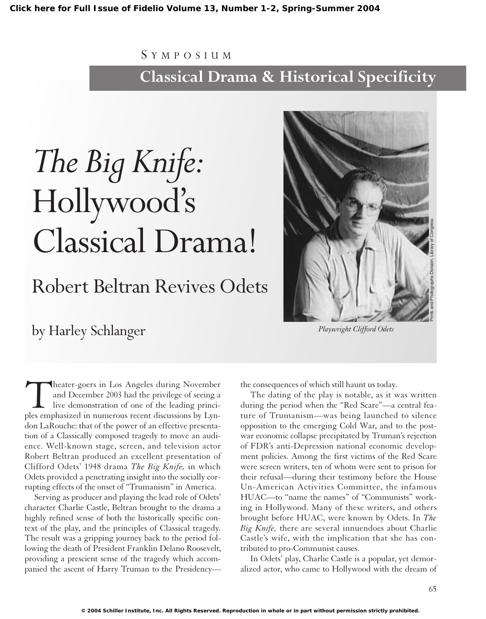## S YMPOSIUM **Classical Drama & Historical Specificity**

# *The Big Knife:* Hollywood's Classical Drama!

## Robert Beltran Revives Odets

### by Harley Schlanger

Theater-goers in Los Angeles during November<br>and December 2003 had the privilege of seeing a<br>live demonstration of one of the leading princi-<br>ples emphasized in numerous recent discussions by Lynand December 2003 had the privilege of seeing a live demonstration of one of the leading princidon LaRouche: that of the power of an effective presentation of a Classically composed tragedy to move an audience. Well-known stage, screen, and television actor Robert Beltran produced an excellent presentation of Clifford Odets' 1948 drama *The Big Knife,* in which Odets provided a penetrating insight into the socially corrupting effects of the onset of "Trumanism" in America.

Serving as producer and playing the lead role of Odets' character Charlie Castle, Beltran brought to the drama a highly refined sense of both the historically specific context of the play, and the principles of Classical tragedy. The result was a gripping journey back to the period following the death of President Franklin Delano Roosevelt, providing a prescient sense of the tragedy which accompanied the ascent of Harry Truman to the Presidencythe consequences of which still haunt us today.

The dating of the play is notable, as it was written during the period when the "Red Scare"—a central feature of Trumanism—was being launched to silence opposition to the emerging Cold War, and to the postwar economic collapse precipitated by Truman's rejection of FDR's anti-Depression national economic development policies. Among the first victims of the Red Scare were screen writers, ten of whom were sent to prison for their refusal—during their testimony before the House Un-American Activities Committee, the infamous HUAC—to "name the names" of "Communists" working in Hollywood. Many of these writers, and others brought before HUAC, were known by Odets. In *The Big Knife,* there are several innuendoes about Charlie Castle's wife, with the implication that she has contributed to pro-Communist causes.

In Odets' play, Charlie Castle is a popular, yet demoralized actor, who came to Hollywood with the dream of



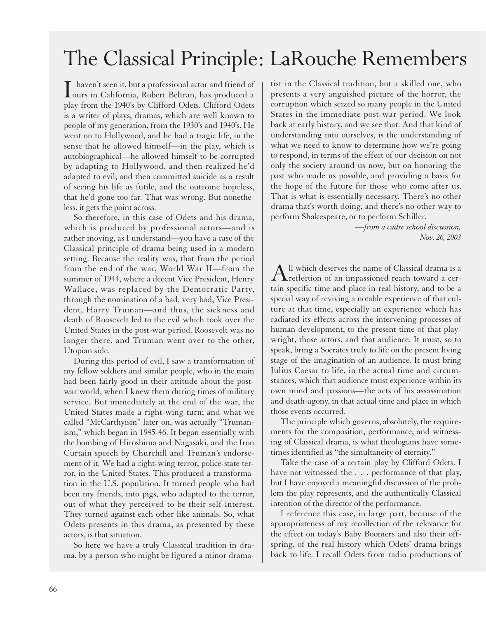## The Classical Principle: LaRouche Remembers

I haven't seen it, but a professional actor and friend of<br>ours in California, Robert Beltran, has produced a play from the 1940's by Clifford Odets. Clifford Odets is a writer of plays, dramas, which are well known to people of my generation, from the 1930's and 1940's. He went on to Hollywood, and he had a tragic life, in the sense that he allowed himself—in the play, which is autobiographical—he allowed himself to be corrupted by adapting to Hollywood, and then realized he'd adapted to evil; and then committed suicide as a result of seeing his life as futile, and the outcome hopeless, that he'd gone too far. That was wrong. But nonetheless, it gets the point across.

So therefore, in this case of Odets and his drama, which is produced by professional actors—and is rather moving, as I understand—you have a case of the Classical principle of drama being used in a modern setting. Because the reality was, that from the period from the end of the war, World War II—from the summer of 1944, where a decent Vice President, Henry Wallace, was replaced by the Democratic Party, through the nomination of a bad, very bad, Vice President, Harry Truman—and thus, the sickness and death of Roosevelt led to the evil which took over the United States in the post-war period. Roosevelt was no longer there, and Truman went over to the other, Utopian side.

During this period of evil, I saw a transformation of my fellow soldiers and similar people, who in the main had been fairly good in their attitude about the postwar world, when I knew them during times of military service. But immediately at the end of the war, the United States made a right-wing turn; and what we called "McCarthyism" later on, was actually "Trumanism," which began in 1945-46. It began essentially with the bombing of Hiroshima and Nagasaki, and the Iron Curtain speech by Churchill and Truman's endorsement of it. We had a right-wing terror, police-state terror, in the United States. This produced a transformation in the U.S. population. It turned people who had been my friends, into pigs, who adapted to the terror, out of what they perceived to be their self-interest. They turned against each other like animals. So, what Odets presents in this drama, as presented by these actors, is that situation.

So here we have a truly Classical tradition in drama, by a person who might be figured a minor dramatist in the Classical tradition, but a skilled one, who presents a very anguished picture of the horror, the corruption which seized so many people in the United States in the immediate post-war period. We look back at early history, and we see that. And that kind of understanding into ourselves, is the understanding of what we need to know to determine how we're going to respond, in terms of the effect of our decision on not only the society around us now, but on honoring the past who made us possible, and providing a basis for the hope of the future for those who come after us. That is what is essentially necessary. There's no other drama that's worth doing, and there's no other way to perform Shakespeare, or to perform Schiller.

> *—from a cadre school discussion, Nov. 26, 2003*

All which deserves the name of Classical drama is a<br>reflection of an impassioned reach toward a certain specific time and place in real history, and to be a special way of reviving a notable experience of that culture at that time, especially an experience which has radiated its effects across the intervening processes of human development, to the present time of that playwright, those actors, and that audience. It must, so to speak, bring a Socrates truly to life on the present living stage of the imagination of an audience. It must bring Julius Caesar to life, in the actual time and circumstances, which that audience must experience within its own mind and passions—the acts of his assassination and death-agony, in that actual time and place in which those events occurred.

The principle which governs, absolutely, the requirements for the composition, performance, and witnessing of Classical drama, is what theologians have sometimes identified as "the simultaneity of eternity."

Take the case of a certain play by Clifford Odets. I have not witnessed the . . . performance of that play, but I have enjoyed a meaningful discussion of the problem the play represents, and the authentically Classical intention of the director of the performance.

I reference this case, in large part, because of the appropriateness of my recollection of the relevance for the effect on today's Baby Boomers and also their offspring, of the real history which Odets' drama brings back to life. I recall Odets from radio productions of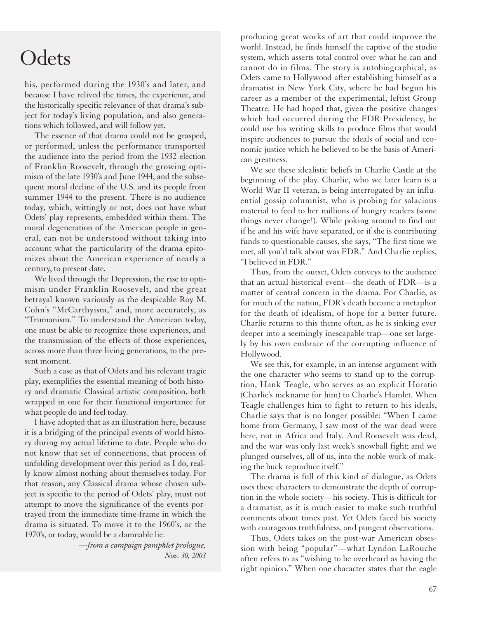## **Odets**

his, performed during the 1930's and later, and because I have relived the times, the experience, and the historically specific relevance of that drama's subject for today's living population, and also generations which followed, and will follow yet.

The essence of that drama could not be grasped, or performed, unless the performance transported the audience into the period from the 1932 election of Franklin Roosevelt, through the growing optimism of the late 1930's and June 1944, and the subsequent moral decline of the U.S. and its people from summer 1944 to the present. There is no audience today, which, wittingly or not, does not have what Odets' play represents, embedded within them. The moral degeneration of the American people in general, can not be understood without taking into account what the particularity of the drama epitomizes about the American experience of nearly a century, to present date.

We lived through the Depression, the rise to optimism under Franklin Roosevelt, and the great betrayal known variously as the despicable Roy M. Cohn's "McCarthyism," and, more accurately, as "Trumanism." To understand the American today, one must be able to recognize those experiences, and the transmission of the effects of those experiences, across more than three living generations, to the present moment.

Such a case as that of Odets and his relevant tragic play, exemplifies the essential meaning of both history and dramatic Classical artistic composition, both wrapped in one for their functional importance for what people do and feel today.

I have adopted that as an illustration here, because it is a bridging of the principal events of world history during my actual lifetime to date. People who do not know that set of connections, that process of unfolding development over this period as I do, really know almost nothing about themselves today. For that reason, any Classical drama whose chosen subject is specific to the period of Odets' play, must not attempt to move the significance of the events portrayed from the immediate time-frame in which the drama is situated. To move it to the 1960's, or the 1970's, or today, would be a damnable lie.

> *—from a campaign pamphlet prologue, Nov. 30, 2003*

producing great works of art that could improve the world. Instead, he finds himself the captive of the studio system, which asserts total control over what he can and cannot do in films. The story is autobiographical, as Odets came to Hollywood after establishing himself as a dramatist in New York City, where he had begun his career as a member of the experimental, leftist Group Theatre. He had hoped that, given the positive changes which had occurred during the FDR Presidency, he could use his writing skills to produce films that would inspire audiences to pursue the ideals of social and economic justice which he believed to be the basis of American greatness.

We see these idealistic beliefs in Charlie Castle at the beginning of the play. Charlie, who we later learn is a World War II veteran, is being interrogated by an influential gossip columnist, who is probing for salacious material to feed to her millions of hungry readers (some things never change!). While poking around to find out if he and his wife have separated, or if she is contributing funds to questionable causes, she says, "The first time we met, all you'd talk about was FDR." And Charlie replies, "I believed in FDR."

Thus, from the outset, Odets conveys to the audience that an actual historical event—the death of FDR—is a matter of central concern in the drama. For Charlie, as for much of the nation, FDR's death became a metaphor for the death of idealism, of hope for a better future. Charlie returns to this theme often, as he is sinking ever deeper into a seemingly inescapable trap—one set largely by his own embrace of the corrupting influence of Hollywood.

We see this, for example, in an intense argument with the one character who seems to stand up to the corruption, Hank Teagle, who serves as an explicit Horatio (Charlie's nickname for him) to Charlie's Hamlet. When Teagle challenges him to fight to return to his ideals, Charlie says that is no longer possible: "When I came home from Germany, I saw most of the war dead were here, not in Africa and Italy. And Roosevelt was dead, and the war was only last week's snowball fight; and we plunged ourselves, all of us, into the noble work of making the buck reproduce itself."

The drama is full of this kind of dialogue, as Odets uses these characters to demonstrate the depth of corruption in the whole society—his society. This is difficult for a dramatist, as it is much easier to make such truthful comments about times past. Yet Odets faced his society with courageous truthfulness, and pungent observations.

Thus, Odets takes on the post-war American obsession with being "popular"—what Lyndon LaRouche often refers to as "wishing to be overheard as having the right opinion." When one character states that the eagle